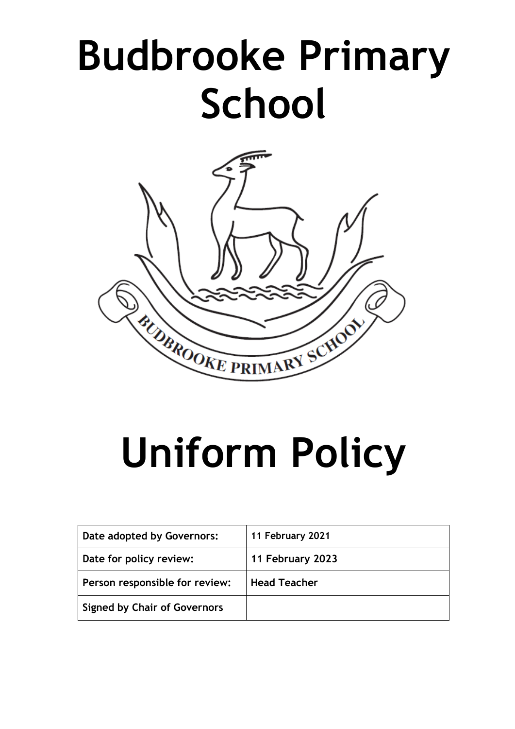# **Budbrooke Primary School**



# **Uniform Policy**

| Date adopted by Governors:          | 11 February 2021    |
|-------------------------------------|---------------------|
| Date for policy review:             | 11 February 2023    |
| Person responsible for review:      | <b>Head Teacher</b> |
| <b>Signed by Chair of Governors</b> |                     |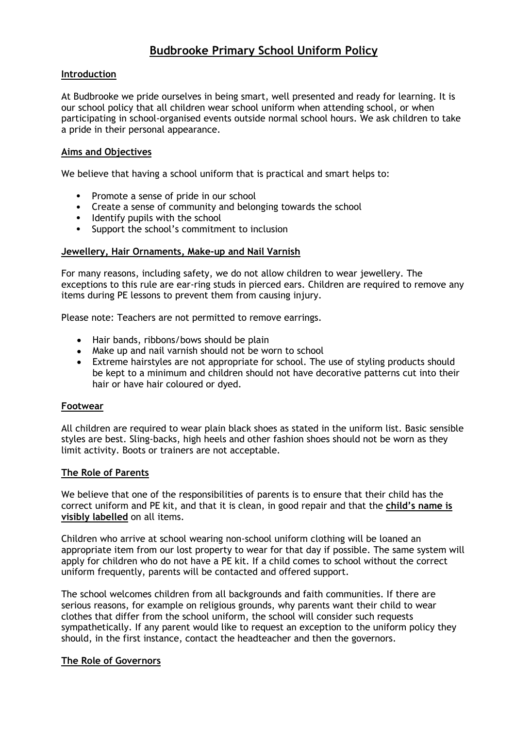# **Budbrooke Primary School Uniform Policy**

# **Introduction**

At Budbrooke we pride ourselves in being smart, well presented and ready for learning. It is our school policy that all children wear school uniform when attending school, or when participating in school-organised events outside normal school hours. We ask children to take a pride in their personal appearance.

### **Aims and Objectives**

We believe that having a school uniform that is practical and smart helps to:

- Promote a sense of pride in our school
- Create a sense of community and belonging towards the school
- Identify pupils with the school
- Support the school's commitment to inclusion

#### **Jewellery, Hair Ornaments, Make-up and Nail Varnish**

For many reasons, including safety, we do not allow children to wear jewellery. The exceptions to this rule are ear-ring studs in pierced ears. Children are required to remove any items during PE lessons to prevent them from causing injury.

Please note: Teachers are not permitted to remove earrings.

- Hair bands, ribbons/bows should be plain
- Make up and nail varnish should not be worn to school
- Extreme hairstyles are not appropriate for school. The use of styling products should be kept to a minimum and children should not have decorative patterns cut into their hair or have hair coloured or dyed.

#### **Footwear**

All children are required to wear plain black shoes as stated in the uniform list. Basic sensible styles are best. Sling-backs, high heels and other fashion shoes should not be worn as they limit activity. Boots or trainers are not acceptable.

#### **The Role of Parents**

We believe that one of the responsibilities of parents is to ensure that their child has the correct uniform and PE kit, and that it is clean, in good repair and that the **child's name is visibly labelled** on all items.

Children who arrive at school wearing non-school uniform clothing will be loaned an appropriate item from our lost property to wear for that day if possible. The same system will apply for children who do not have a PE kit. If a child comes to school without the correct uniform frequently, parents will be contacted and offered support.

The school welcomes children from all backgrounds and faith communities. If there are serious reasons, for example on religious grounds, why parents want their child to wear clothes that differ from the school uniform, the school will consider such requests sympathetically. If any parent would like to request an exception to the uniform policy they should, in the first instance, contact the headteacher and then the governors.

#### **The Role of Governors**